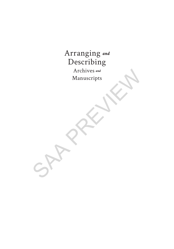## Arranging *and* Describing

Archives *and* Manuscripts Archives and Manuscripts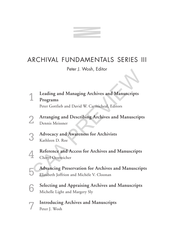## archival fundamentals series iii

Peter J. Wosh, Editor

**Leading and Managing Archives and Manuscripts Programs** 1 Ferer J. Wosh, Editor<br>
Leading and Managing Archives and Manuscripts<br>
Programs<br>
Peter Gottlieb and David W. Carmicheal, Editors<br>
Arranging and Describing Archives and Manuscript<br>
Dennis Meissner<br>
Advocacy and Awareness for

Peter Gottlieb and David W. Carmicheal, Editors

- **Arranging and Describing Archives and Manuscripts** Dennis Meissner 2
- **Advocacy and Awareness for Archivists** Kathleen D. Roe 3
- **Reference and Access for Archives and Manuscripts** Cheryl Oestreicher 4
- **Advancing Preservation for Archives and Manuscripts** Elizabeth Joffrion and Michèle V. Cloonan 5
- **Selecting and Appraising Archives and Manuscripts** Michelle Light and Margery Sly 6
- **Introducing Archives and Manuscripts** Peter J. Wosh 7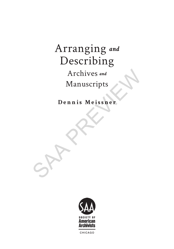# Arranging *and* Describing

# Archives *and* Manuscripts Archives and<br>Manuscripts<br>Dennis Meissner<br>S

**Dennis Meissner**



Chicago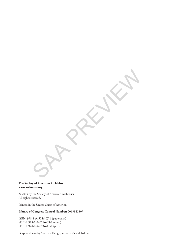#### **The Society of American Archivists www.archivists.org**

**©** 2019 by the Society of American Archivists All rights reserved.

Printed in the United States of America.

#### **Library of Congress Control Number:** 2019942807

SPARKIN

ISBN: 978-1-945246-07-4 (paperback) eISBN: 978-1-945246-09-8 (epub) eISBN: 978-1-945246-11-1 (pdf)

Graphic design by Sweeney Design, kasween@sbcglobal.net.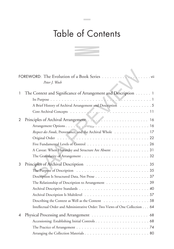## Table of Contents

**Contract** 



|                | Peter J. Wosh                                                               |
|----------------|-----------------------------------------------------------------------------|
| 1              | The Context and Significance of Arrangement and Description 1               |
|                |                                                                             |
|                | A Brief History of Archival Arrangement and Description 5                   |
|                |                                                                             |
| $\overline{2}$ |                                                                             |
|                |                                                                             |
|                | Respect des Fonds, Provenance, and the Archival Whole 17                    |
|                |                                                                             |
|                |                                                                             |
|                | A Caveat: When Hierarchy and Structure Are Absent 31                        |
|                |                                                                             |
| 3              |                                                                             |
|                |                                                                             |
|                |                                                                             |
|                | The Relationship of Description to Arrangement 39                           |
|                |                                                                             |
|                |                                                                             |
|                | Describing the Context as Well as the Content 58                            |
|                | Intellectual Order and Administrative Order: Two Views of One Collection 64 |
| 4              |                                                                             |
|                |                                                                             |
|                |                                                                             |
|                |                                                                             |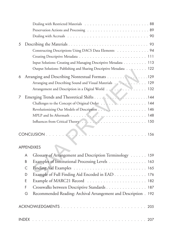| 5 |   |                                                                   |  |
|---|---|-------------------------------------------------------------------|--|
|   |   | Constructing Descriptions Using DACS Data Elements 94             |  |
|   |   |                                                                   |  |
|   |   | Input Solutions: Creating and Managing Descriptive Metadata 113   |  |
|   |   | Output Solutions: Publishing and Sharing Descriptive Metadata 122 |  |
| 6 |   | Arranging and Describing Nontextual Formats 129                   |  |
|   |   |                                                                   |  |
|   |   | Arrangement and Description in a Digital World 132                |  |
|   |   |                                                                   |  |
|   |   | Challenges to the Concept of Original Order 144                   |  |
|   |   | Revolutionizing Our Models of Description 146                     |  |
|   |   |                                                                   |  |
|   |   |                                                                   |  |
|   |   |                                                                   |  |
|   |   | <b>APPENDIXES</b>                                                 |  |
|   |   |                                                                   |  |
|   | A | Glossary of Arrangement and Description Terminology 159           |  |
|   | B | Examples of Institutional Processing Levels 163                   |  |
|   | C |                                                                   |  |
|   | D | Example of Full Finding Aid Encoded in EAD 176                    |  |
|   | E |                                                                   |  |
|   | F | Crosswalks between Descriptive Standards 187                      |  |
|   | G | Recommended Reading: Archival Arrangement and Description . 192   |  |
|   |   | ACKNOWLEDGMENTS205                                                |  |
|   |   |                                                                   |  |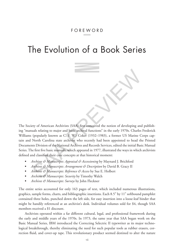## The Evolution of a Book Series

The Society of American Archivists (SAA) first conceived the notion of developing and publishing "manuals relating to major and basic archival functions" in the early 1970s. Charles Frederick Williams (popularly known as C. F. W.) Coker (1932–1983), a former US Marine Corps captain and North Carolina state archivist who recently had been appointed to head the Printed Documents Division of the National Archives and Records Services, edited the initial Basic Manual Series. The first five basic manuals, which appeared in 1977, illustrated the ways in which archivists defined and classified their core concepts at that historical moment: ety of American Archivists (SAA) first conceived the notion of developing and<br>uals relating to major and basic archival functions" in the early 1970s. Charles<br>(popularly known as C. F. W.) Coker (1932–1983), a former US Ma

- **•** *Archives & Manuscripts: Appraisal & Accessioning* by Maynard J. Brichford
- **•** *Archives & Manuscripts: Arrangement & Description* by David B. Gracy II
- **•** *Archives & Manuscripts: Reference & Access* by Sue E. Holbert
- **•** *Archives & Manuscripts: Security* by Timothy Walch
- **•** *Archives & Manuscripts: Surveys* by John Fleckner

The entire series accounted for only 163 pages of text, which included numerous illustrations, graphics, sample forms, charts, and bibliographic insertions. Each 8.5" by 11" softbound pamphlet contained three holes, punched down the left side, for easy insertion into a loose-leaf binder that might be handily referenced at an archivist's desk. Individual volumes sold for \$4, though SAA members received a \$1 discount.

Archivists operated within a far different cultural, legal, and professional framework during the early and middle years of the 1970s. In 1973, the same year that SAA began work on the Basic Manual Series, IBM introduced the Correcting Selectric II typewriter as its major technological breakthrough, thereby eliminating the need for such popular tools as rubber erasers, correction fluid, and cover-up tape. This revolutionary product seemed destined to alter the nature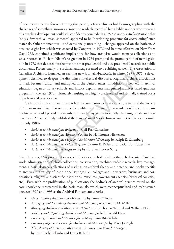of document creation forever. During this period, a few archivists had begun grappling with the challenges of something known as "machine-readable records," but a bibliographer who surveyed this puzzling development could still confidently conclude in a 1975 *American Archivist* article that "only a few archival establishments" appeared to be "developing programs for accessioning" such materials. Other momentous—and occasionally unsettling—changes appeared on the horizon. A new copyright law, which was enacted by Congress in 1976 and became effective on New Year's Day 1978, contained significant implications for how archivists would manage collections and serve researchers. Richard Nixon's resignation in 1974 prompted the promulgation of new legislation in 1978 that declared for the first time that presidential and vice presidential records are public documents. Professionally, the archival landscape seemed to be shifting as well. The Association of Canadian Archivists launched an exciting new journal, *Archivaria*, in winter 1975/1976, a development destined to deepen the discipline's intellectual discourse. Regional archival associations formed, became fruitful, and multiplied in the United States. In addition, a new era in archival education began as library schools and history departments inaugurated archives-based graduate programs in the late 1970s, ultimately resulting in a highly credentialed and formally trained corps of professional practitioners. Is. Protessionally, the archival and<br>scape seemand to be simiting as well. A Archivists launched an exciting new journal, *Archiveria*, in winter 1978/1976<br>destined to deepen the discipline's intellectual discourse. Region

Such transformations, and many others too numerous to mention here, convinced the Society of American Archivists that only an active publications program that regularly refreshed the existing literature could provide its membership with easy access to rapidly changing trends and best practices. SAA accordingly published the Basic Manual Series II—a second set of five volumes—in the early 1980s:

- **•** *Archives & Manuscripts: Exhibits* by Gail Farr Casterline
- **•** *Archives & Manuscripts: Automated Access* by H. Thomas Hickerson
- **•** *Archives & Manuscripts: Maps and Architectural Drawings* by Ralph E. Ehrenberg
- **•** *Archives & Manuscripts: Public Programs* by Ann E. Pederson and Gail Farr Casterline
- **•** *Archives & Manuscripts: Reprography* by Carolyn Hoover Sung

Over the years, SAA published scores of other titles, each illustrating the rich diversity of archival work: administration of photo collections, conservation, machine-readable records, law, management, a basic glossary, collections of readings on archival theory and practice, and books specific to archives in a variety of institutional settings (i.e., colleges and universities, businesses and corporations, religious and scientific institutions, museums, government agencies, historical societies, etc.). Even with the proliferation of publications, the bedrock of archival practice rested on the core knowledge represented in the basic manuals, which were reconceptualized and rechristened between 1990 and 1993 as the Archival Fundamentals Series:

- **•** *Understanding Archives and Manuscripts* by James O'Toole
- **•** *Arranging and Describing Archives and Manuscripts* by Fredric M. Miller
- **•** *Managing Archival and Manuscript Repositories* by Thomas Wilsted and William Nolte
- **•** *Selecting and Appraising Archives and Manuscripts* by F. Gerald Ham
- **•** *Preserving Archives and Manuscripts* by Mary Lynn Ritzenthaler
- **•** *Providing Reference Services for Archives and Manuscripts* by Mary Jo Pugh
- **•** *The Glossary of Archivists, Manuscript Curators, and Records Managers* by Lynn Lady Bellardo and Lewis Bellardo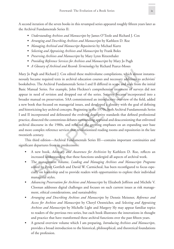A second iteration of the seven books in this revamped series appeared roughly fifteen years later as the Archival Fundamentals Series II:

- **•** *Understanding Archives and Manuscripts* by James O'Toole and Richard J. Cox
- **•** *Arranging and Describing Archives and Manuscripts* by Kathleen D. Roe
- **•** *Managing Archival and Manuscript Repositories* by Michael Kurtz
- **•** *Selecting and Appraising Archives and Manuscripts* by Frank Boles
- **•** *Preserving Archives and Manuscripts* by Mary Lynn Ritzenthaler
- **•** *Providing Reference Services for Archives and Manuscripts* by Mary Jo Pugh
- **•** *A Glossary of Archival and Records Terminology* by Richard Pearce-Moses

Mary Jo Pugh and Richard J. Cox edited these multivolume compilations, which almost instantaneously became required texts in archival education courses and necessary additions to archivists' bookshelves. The Archival Fundamentals Series I and II differed in scope and scale from the initial Basic Manual Series. For example, John Fleckner's comprehensive treatment of surveys did not appear in need of revision and dropped out of the series. Security became incorporated into a broader manual on preservation. SAA commissioned an introductory overview of the field, added a new book that focused on managerial issues, and developed a glossary with the goal of defining and historicizing key archival concepts. Beginning in the 1970s, both Archival Fundamentals Series I and II incorporated and delineated the evolving descriptive standards that defined professional practice, dissected the contentious debates surrounding appraisal and deaccessioning that enlivened archival discourse in the 1980s, and reflected the growing emphases on an expanding user base and more complex reference services that revolutionized reading rooms and repositories in the late twentieth century. Pugh and Richard J. Cox edited these multivolume compilations, which almost<br>occame required texts in archival education courses and necessary additions to *s*<br>wes. The Archival Fundamentals Series I and II differed in scop

This third edition—Archival Fundamentals Series III—contains important continuities and significant departures from its predecessors:

- **•** A new book, *Advocacy and Awareness for Archivists* by Kathleen D. Roe, reflects an increased understanding that these functions undergird all aspects of archival work.
- **•** The management volume, *Leading and Managing Archives and Manuscripts Programs* edited by Peter Gottlieb and David W. Carmicheal, has been reconfigured to focus especially on leadership and to provide readers with opportunities to explore their individual managerial styles.
- **•** *Advancing Preservation for Archives and Manuscripts* by Elizabeth Joffrion and Michèle V. Cloonan addresses digital challenges and focuses on such current issues as risk management, ethical considerations, and sustainability.
- **•** *Arranging and Describing Archives and Manuscripts* by Dennis Meissner, *Reference and Access for Archives and Manuscripts* by Cheryl Oestreicher, and *Selecting and Appraising Archives and Manuscripts* by Michelle Light and Margery Sly may appear familiar topics to readers of the previous two series, but each book illustrates the innovations in thought and practice that have transformed these archival functions over the past fifteen years.
- **•** A general overview volume which I am preparing, *Introducing Archives and Manuscripts*, provides a broad introduction to the historical, philosophical, and theoretical foundations of the profession.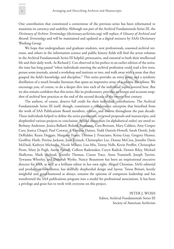One contribution that constituted a cornerstone of the previous series has been reformatted to maximize its currency and usability. Although not part of the Archival Fundamentals Series III, the *Dictionary of Archives Terminology* (dictionary.archivists.org) will replace *A Glossary of Archival and Records Terminology* and will be maintained and updated as a digital resource by SAA's Dictionary Working Group.

We hope that undergraduate and graduate students, new professionals, seasoned archival veterans, and others in the information science and public history fields will find the seven volumes in the Archival Fundamentals Series III helpful, provocative, and essential to both their intellectual life and their daily work. As Richard J. Cox observed in his preface to an earlier edition of the series, the time has long passed "when individuals entering the archival profession could read a few texts, peruse some journals, attend a workshop and institute or two, and walk away with a sense that they grasped the field's knowledge and discipline." This series provides an entry point and a synthetic distillation of a much broader literature that spans an impressive array of academic disciplines. We encourage you, of course, to do a deeper dive into each of the individual topics covered here. But we also remain confident that this series, like its predecessors, provides an honest and accurate snapshot of archival best practices at the end of the second decade of the twenty-first century.

The authors, of course, deserve full credit for their individual contributions. The Archival Fundamentals Series III itself, though, constitutes a collaborative enterprise that benefited from the work of SAA Publications Board members, editors, and interns throughout the past decade. These individuals helped to define the series parameters, reviewed proposals and manuscripts, and shepherded various projects to conclusion. Special shout-outs (in alphabetical order) are owed to: Bethany Anderson, Jessica Ballard, Roland Baumann, Cara Bertram, Mary Caldera, Amy Cooper Cary, Jessica Chapel, Paul Conway, J. Gordon Daines, Todd Daniels-Howell, Sarah Demb, Jody DeRidder, Keara Duggan, Margaret Fraser, Thomas J. Frusciano, Krista Gray, Gregory Hunter, Geoffrey Huth, Petrina Jackson, Joan Krizack, Christopher Lee, Donna McCrea, Jennifer Davis McDaid, Kathryn Michaelis, Nicole Milano, Lisa Mix, Tawny Nelb, Kevin Proffitt, Christopher Prom, Mary Jo Pugh, Aaron Purcell, Colleen Rademaker, Caryn Radick, Dennis Riley, Michael Shallcross, Mark Shelstad, Jennifer Thomas, Ciaran Trace, Anna Trammell, Joseph Turrini, Tywanna Whorley, and Deborah Wythe. Nancy Beaumont has been an inspirational executive director for SAA, as well as a brilliant editor in her own right. Abigail Christian, SAA's editorial and production coordinator, has skillfully shepherded design and layout. Teresa Brinati, keenly insightful and good-humored as always, remains the epitome of competent leadership and has transformed the SAA publications program into a model for professional associations. It has been a privilege and great fun to work with everyone on this project. me journals, attend a workshop and institute or two, and walk away with a sense<br>he field's knowledge and discipline." This series provides an entry point and a<br>n of a much broader literature that spans an impressive array

> PETER J. WOSH Editor, Archival Fundamentals Series III Society of American Archivists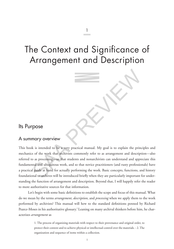## The Context and Significance of Arrangement and Description

1

### Its Purpose

#### A summary overview

This book is intended to be a very practical manual. My goal is to explain the principles and mechanics of the work that archivists commonly refer to as arrangement and description—also referred to as processing—so that students and nonarchivists can understand and appreciate this fundamental and ubiquitous work, and so that novice practitioners (and rusty professionals) have a practical guide at hand for actually performing the work. Basic concepts, functions, and history foundational to archives will be introduced briefly when they are particularly important for understanding the function of arrangement and description. Beyond that, I will happily refer the reader to more authoritative sources for that information. The Same State of the work that archivists commonly refer to as a rangement and descript the work that archivists commonly refer to as a rangement and descript of as processing so that students and nonarchivists can unders

Let's begin with some basic definitions to establish the scope and focus of this manual. What do we mean by the terms *arrangement*, *description*, and *processing* when we apply them to the work performed by archivists? This manual will hew to the standard definitions penned by Richard Pearce-Moses in his authoritative glossary.<sup>1</sup> Leaning on many archival thinkers before him, he characterizes *arrangement* as

> 1. The process of organizing materials with respect to their provenance and original order, to protect their context and to achieve physical or intellectual control over the materials. - 2. The organization and sequence of items within a collection.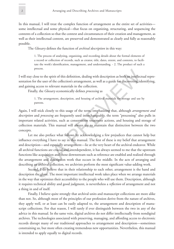In this manual, I will treat the complex function of arrangement as the entire set of activities some intellectual and some physical—that focus on organizing, structuring, and sequencing the contents of a collection so that the context and circumstances of their creation and management, as well as their intellectual content, are preserved and demonstrated as clearly and fully as reasonably possible.

The *Glossary* defines the function of *archival description* in this way:

1. The process of analyzing, organizing, and recording details about the formal elements of a record or collection of records, such as creator, title, dates, extent, and contents, to facilitate the work's identification, management, and understanding. - 2. The product of such a process.

I will stay close to the spirit of this definition, dealing with description as both an intellectual representation for the user of the collection's arrangement, as well as a guide for discovering, identifying, and gaining access to relevant materials in the collection.

Finally, the *Glossary* economically defines *processing* as

1. The arrangement, description, and housing of archival materials for storage and use by patrons.

Again, I will stick closely to this usage of the term, emphasizing that, although *arrangement and description* and *processing* are frequently used interchangeably, the term "processing" also pulls in important related activities, such as conservation treatment actions, and housing and storage of collection materials. This manual will always try to maintain that distinction between the two concepts.

Let me also preface what follows by acknowledging a few prejudices that cannot help but influence everything I have to say in this manual. The first of these is my belief that arrangement and description—and especially arrangement—lie at the very heart of the archival endeavor. While all archival functions are crucial and interdependent, it has always seemed to me that the upstream functions like acquisition and those downstream such as reference are enabled and realized through the arrangement and description work that occurs in the middle. In the acts of arranging and describing an archival collection, we archivists perform the most significant value-adding work. places.<br>
The spirit of this definition, dealing with description as both an intellect<br>
for the user of the collection's arrangement, as well as a guide for discovering, id<br>
mally, the *Glossary* economically defines *proce* 

Second, I do believe that in their relationship to each other, arrangement is the hand and description the glove. The most important intellectual work takes place when we arrange materials in the way that optimizes their accessibility to the people who will use them. Description, although it requires technical ability and good judgment, is nevertheless a *reflection* of arrangement and not a thing in and of itself.

Finally, I believe quite strongly that archival units and manuscript collections are more alike than not. So, although most of the principles of our profession derive from the nature of archives, they apply well, or at least can be easily adapted to, the arrangement and description of manuscript collections. For that reason, I will rarely if ever distinguish between the two in any of the advice in this manual. In the same vein, digital archives do not differ intellectually from nondigital archives. The technologies associated with preserving, managing, and affording access to electronic records disrupt many of our traditional approaches to arrangement and description—sometimes constraining us, but more often creating tremendous new opportunities. Nevertheless, this manual is intended to apply equally to digital records.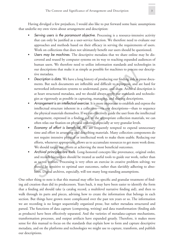Having divulged a few prejudices, I would also like to put forward some basic assumptions that underlie my own views about arrangement and description:

- **•** *Serving users is the paramount objective.* Processing is a resource-intensive activity that can only be justified as a user-service function. We therefore need to evaluate our approaches and methods based on their efficacy in serving the requirements of users. Work on collections that does not ultimately benefit our users should be questioned.
- **•** *Users may be machines.* The descriptive metadata that we share online may be discovered and reused by computer systems on its way to reaching expanded audiences of human users. We therefore need to utilize information standards and technologies in our descriptions that make it as simple as possible for machines to process our descriptive metadata.
- **•** *Description is data.* We have a long history of producing our finding aids as prose documents. But such documents are inflexible and difficult to repurpose, and are hard for networked information systems to understand, parse, and share. Archival description is at heart structured metadata, and we should always apply our standards and technologies as vigorously as possible in capturing, managing, and sharing descriptions.
- **•** *Arrangement is an intellectual exercise.* It is more important to establish and express the intellectual structure inherent in a collection—via our descriptions—than to sequence the physical materials themselves. If we can effectively guide the user from the intellectual arrangement, expressed in a finding aid, to the appropriate collection materials, we can often relax our fixation on physical ordering, especially at very granular levels.
- **•** *Economy of effort is beneficial.* We are frequently tempted to expend unnecessary time and effort in arranging and describing materials. Many collection components do not require intensive physical or intellectual work to make them usable. Reducing our efforts, whenever appropriate, allows us to accumulate resources to get more work done. We should target our efforts at achieving the most beneficial outcomes.
- **•** *Archival principles are tools.* Long-honored concepts like provenance, original order, and records hierarchies should be treated as useful tools to guide our work, rather than as sacred verities. Processing is very often an exercise in creative problem solving; we should be sensitive to optimal user outcomes, rather than slavishly adhering to absolutes. Digital archives, especially, will test many long-standing assumptions. our descriptions that make it as simple as possible for machines to process ou<br>tive metadata.<br>We have a long history of producing our finding aids as pr<br>ments. But such documents are inflexible and difficult to reputpose,

One other thing to note is that this manual may offer less specific and granular treatment of finding aid creation than did its predecessors. Years back, it may have been easier to identify the form that a finding aid should take (a catalog record, a multilevel narrative finding aid), and then to walk through its parts and pieces, advising how to create the information that belongs in each section. But things have grown more complicated over the past ten years or so. The information we are recording is no longer sequentially organized prose, but rather metadata structured and parsed. The functions of data capture (composing, writing) and data transformation (finding aids as products) have been effectively separated. And the varieties of metadata-capture mechanisms, transformation processes, and output artifacts have expanded greatly. Therefore, it makes more sense for this manual to focus on the standards that explain how to form and capture descriptive metadata, and on the platforms and technologies we might use to capture, transform, and publish our descriptions.